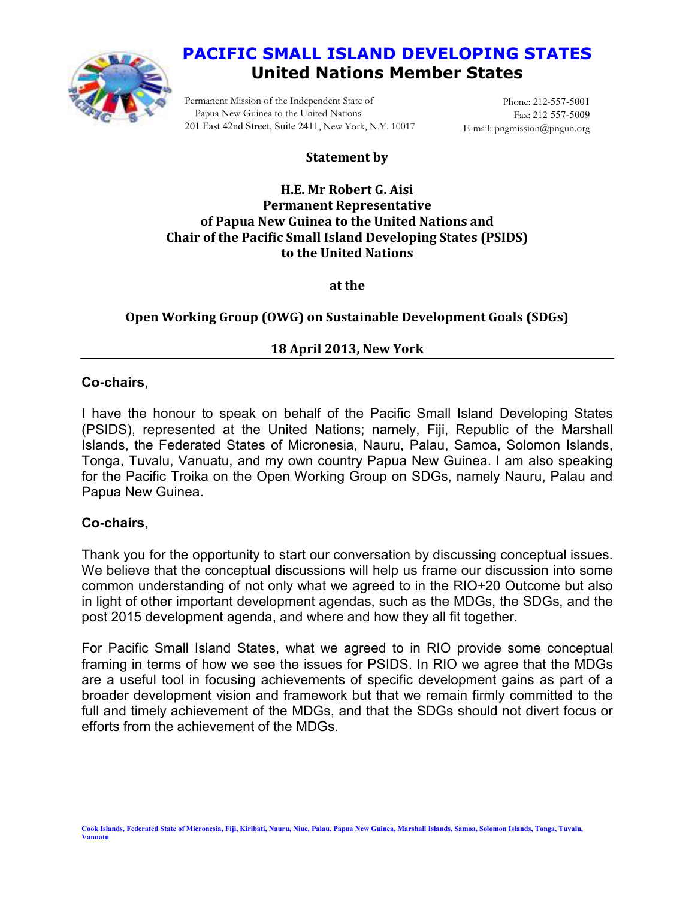

# **PACIFIC SMALL ISLAND DEVELOPING STATES United Nations Member States**

Permanent Mission of the Independent State of Papua New Guinea to the United Nations 201 East 42nd Street, Suite 2411, New York, N.Y. 10017

Phone: 212-557-5001 Fax: 212-557-5009 E-mail: pngmission@pngun.org

## **Statement by**

#### **H.E. Mr Robert G. Aisi Permanent Representative of Papua New Guinea to the United Nations and Chair of the Pacific Small Island Developing States (PSIDS) to the United Nations**

**at the** 

# **Open Working Group (OWG) on Sustainable Development Goals (SDGs)**

## **18 April 2013, New York**

## **Co-chairs**,

I have the honour to speak on behalf of the Pacific Small Island Developing States (PSIDS), represented at the United Nations; namely, Fiji, Republic of the Marshall Islands, the Federated States of Micronesia, Nauru, Palau, Samoa, Solomon Islands, Tonga, Tuvalu, Vanuatu, and my own country Papua New Guinea. I am also speaking for the Pacific Troika on the Open Working Group on SDGs, namely Nauru, Palau and Papua New Guinea.

# **Co-chairs**,

Thank you for the opportunity to start our conversation by discussing conceptual issues. We believe that the conceptual discussions will help us frame our discussion into some common understanding of not only what we agreed to in the RIO+20 Outcome but also in light of other important development agendas, such as the MDGs, the SDGs, and the post 2015 development agenda, and where and how they all fit together.

For Pacific Small Island States, what we agreed to in RIO provide some conceptual framing in terms of how we see the issues for PSIDS. In RIO we agree that the MDGs are a useful tool in focusing achievements of specific development gains as part of a broader development vision and framework but that we remain firmly committed to the full and timely achievement of the MDGs, and that the SDGs should not divert focus or efforts from the achievement of the MDGs.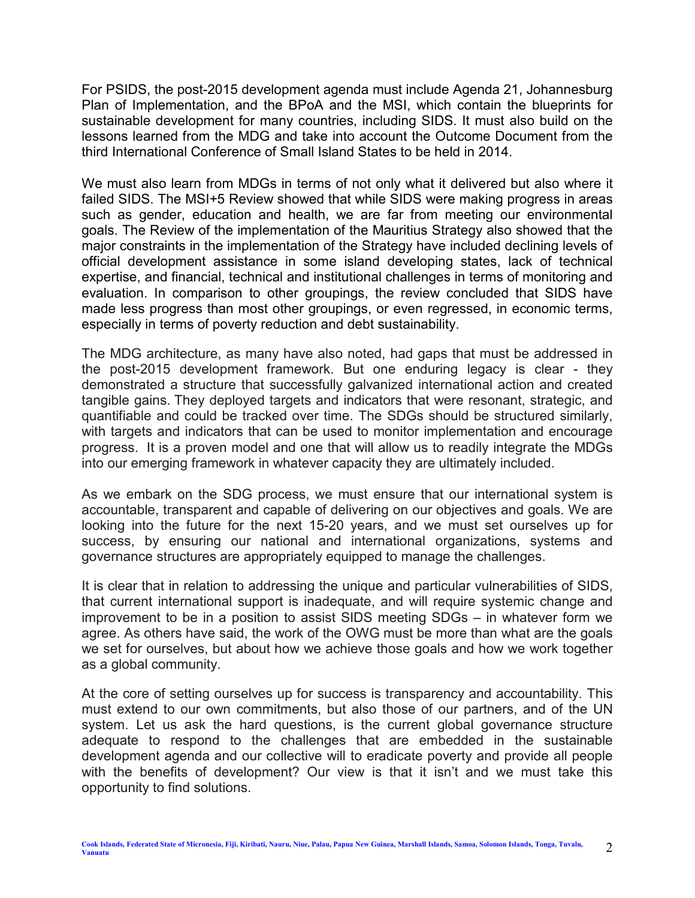For PSIDS, the post-2015 development agenda must include Agenda 21, Johannesburg Plan of Implementation, and the BPoA and the MSI, which contain the blueprints for sustainable development for many countries, including SIDS. It must also build on the lessons learned from the MDG and take into account the Outcome Document from the third International Conference of Small Island States to be held in 2014.

We must also learn from MDGs in terms of not only what it delivered but also where it failed SIDS. The MSI+5 Review showed that while SIDS were making progress in areas such as gender, education and health, we are far from meeting our environmental goals. The Review of the implementation of the Mauritius Strategy also showed that the major constraints in the implementation of the Strategy have included declining levels of official development assistance in some island developing states, lack of technical expertise, and financial, technical and institutional challenges in terms of monitoring and evaluation. In comparison to other groupings, the review concluded that SIDS have made less progress than most other groupings, or even regressed, in economic terms, especially in terms of poverty reduction and debt sustainability.

The MDG architecture, as many have also noted, had gaps that must be addressed in the post-2015 development framework. But one enduring legacy is clear - they demonstrated a structure that successfully galvanized international action and created tangible gains. They deployed targets and indicators that were resonant, strategic, and quantifiable and could be tracked over time. The SDGs should be structured similarly, with targets and indicators that can be used to monitor implementation and encourage progress. It is a proven model and one that will allow us to readily integrate the MDGs into our emerging framework in whatever capacity they are ultimately included.

As we embark on the SDG process, we must ensure that our international system is accountable, transparent and capable of delivering on our objectives and goals. We are looking into the future for the next 15-20 years, and we must set ourselves up for success, by ensuring our national and international organizations, systems and governance structures are appropriately equipped to manage the challenges.

It is clear that in relation to addressing the unique and particular vulnerabilities of SIDS, that current international support is inadequate, and will require systemic change and improvement to be in a position to assist SIDS meeting SDGs – in whatever form we agree. As others have said, the work of the OWG must be more than what are the goals we set for ourselves, but about how we achieve those goals and how we work together as a global community.

At the core of setting ourselves up for success is transparency and accountability. This must extend to our own commitments, but also those of our partners, and of the UN system. Let us ask the hard questions, is the current global governance structure adequate to respond to the challenges that are embedded in the sustainable development agenda and our collective will to eradicate poverty and provide all people with the benefits of development? Our view is that it isn't and we must take this opportunity to find solutions.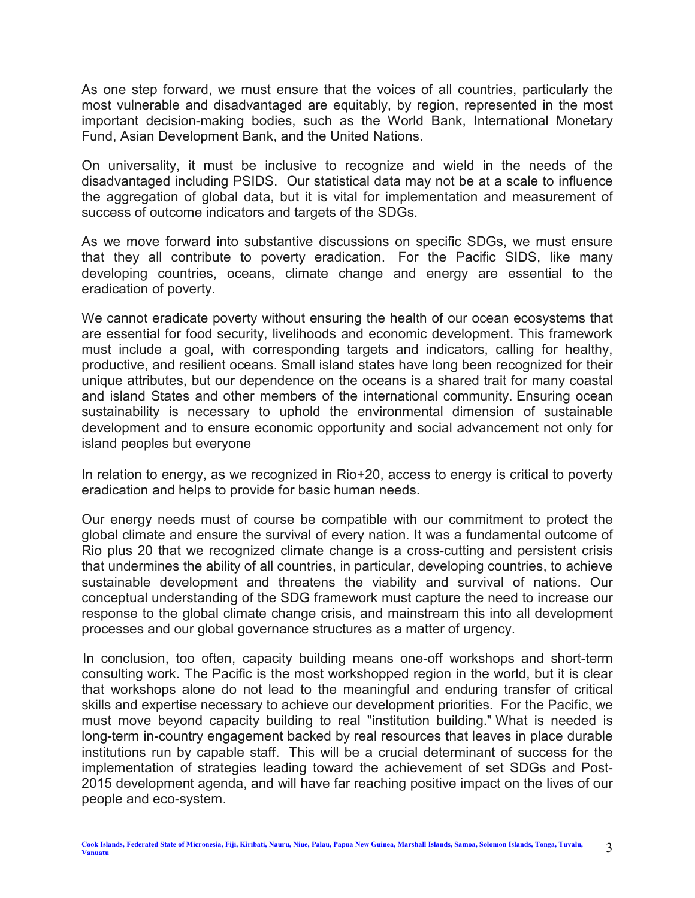As one step forward, we must ensure that the voices of all countries, particularly the most vulnerable and disadvantaged are equitably, by region, represented in the most important decision-making bodies, such as the World Bank, International Monetary Fund, Asian Development Bank, and the United Nations.

On universality, it must be inclusive to recognize and wield in the needs of the disadvantaged including PSIDS. Our statistical data may not be at a scale to influence the aggregation of global data, but it is vital for implementation and measurement of success of outcome indicators and targets of the SDGs.

As we move forward into substantive discussions on specific SDGs, we must ensure that they all contribute to poverty eradication. For the Pacific SIDS, like many developing countries, oceans, climate change and energy are essential to the eradication of poverty.

We cannot eradicate poverty without ensuring the health of our ocean ecosystems that are essential for food security, livelihoods and economic development. This framework must include a goal, with corresponding targets and indicators, calling for healthy, productive, and resilient oceans. Small island states have long been recognized for their unique attributes, but our dependence on the oceans is a shared trait for many coastal and island States and other members of the international community. Ensuring ocean sustainability is necessary to uphold the environmental dimension of sustainable development and to ensure economic opportunity and social advancement not only for island peoples but everyone

In relation to energy, as we recognized in Rio+20, access to energy is critical to poverty eradication and helps to provide for basic human needs.

Our energy needs must of course be compatible with our commitment to protect the global climate and ensure the survival of every nation. It was a fundamental outcome of Rio plus 20 that we recognized climate change is a cross-cutting and persistent crisis that undermines the ability of all countries, in particular, developing countries, to achieve sustainable development and threatens the viability and survival of nations. Our conceptual understanding of the SDG framework must capture the need to increase our response to the global climate change crisis, and mainstream this into all development processes and our global governance structures as a matter of urgency.

In conclusion, too often, capacity building means one-off workshops and short-term consulting work. The Pacific is the most workshopped region in the world, but it is clear that workshops alone do not lead to the meaningful and enduring transfer of critical skills and expertise necessary to achieve our development priorities. For the Pacific, we must move beyond capacity building to real "institution building." What is needed is long-term in-country engagement backed by real resources that leaves in place durable institutions run by capable staff. This will be a crucial determinant of success for the implementation of strategies leading toward the achievement of set SDGs and Post-2015 development agenda, and will have far reaching positive impact on the lives of our people and eco-system.